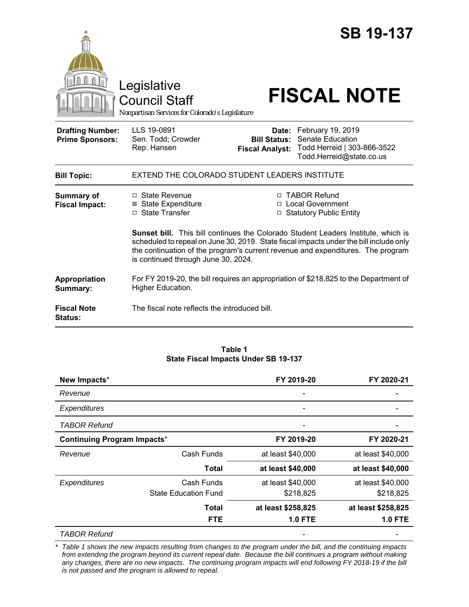|                                                   | Legislative<br><b>Council Staff</b><br>Nonpartisan Services for Colorado's Legislature                                                                                                                           |                                                        | <b>SB 19-137</b><br><b>FISCAL NOTE</b>                                                                                                                        |  |
|---------------------------------------------------|------------------------------------------------------------------------------------------------------------------------------------------------------------------------------------------------------------------|--------------------------------------------------------|---------------------------------------------------------------------------------------------------------------------------------------------------------------|--|
| <b>Drafting Number:</b><br><b>Prime Sponsors:</b> | LLS 19-0891<br>Sen. Todd; Crowder<br>Rep. Hansen                                                                                                                                                                 | Date:<br><b>Bill Status:</b><br><b>Fiscal Analyst:</b> | February 19, 2019<br><b>Senate Education</b><br>Todd Herreid   303-866-3522<br>Todd.Herreid@state.co.us                                                       |  |
| <b>Bill Topic:</b>                                | EXTEND THE COLORADO STUDENT LEADERS INSTITUTE                                                                                                                                                                    |                                                        |                                                                                                                                                               |  |
| Summary of<br><b>Fiscal Impact:</b>               | □ State Revenue<br>⊠ State Expenditure<br>□ State Transfer                                                                                                                                                       |                                                        | □ TABOR Refund<br>□ Local Government<br>□ Statutory Public Entity<br><b>Sunset bill.</b> This bill continues the Colorado Student Leaders Institute, which is |  |
|                                                   | scheduled to repeal on June 30, 2019. State fiscal impacts under the bill include only<br>the continuation of the program's current revenue and expenditures. The program<br>is continued through June 30, 2024. |                                                        |                                                                                                                                                               |  |
| Appropriation<br>Summary:                         | For FY 2019-20, the bill requires an appropriation of \$218,825 to the Department of<br>Higher Education.                                                                                                        |                                                        |                                                                                                                                                               |  |
| <b>Fiscal Note</b><br><b>Status:</b>              | The fiscal note reflects the introduced bill.                                                                                                                                                                    |                                                        |                                                                                                                                                               |  |

#### **Table 1 State Fiscal Impacts Under SB 19-137**

| New Impacts*                       |                             | FY 2019-20               | FY 2020-21         |
|------------------------------------|-----------------------------|--------------------------|--------------------|
| Revenue                            |                             |                          |                    |
| <b>Expenditures</b>                |                             | $\overline{\phantom{0}}$ |                    |
| <b>TABOR Refund</b>                |                             |                          |                    |
| <b>Continuing Program Impacts*</b> |                             | FY 2019-20<br>FY 2020-21 |                    |
| Revenue                            | Cash Funds                  | at least \$40,000        | at least \$40,000  |
|                                    | <b>Total</b>                | at least \$40,000        | at least \$40,000  |
| Expenditures                       | Cash Funds                  | at least \$40,000        | at least \$40,000  |
|                                    | <b>State Education Fund</b> | \$218,825                | \$218,825          |
|                                    | <b>Total</b>                | at least \$258,825       | at least \$258,825 |
|                                    | <b>FTE</b>                  | <b>1.0 FTE</b>           | <b>1.0 FTE</b>     |
| TABOR Refund                       |                             |                          |                    |

*\* Table 1 shows the new impacts resulting from changes to the program under the bill, and the continuing impacts from extending the program beyond its current repeal date. Because the bill continues a program without making any changes, there are no new impacts. The continuing program impacts will end following FY 2018-19 if the bill is not passed and the program is allowed to repeal.*